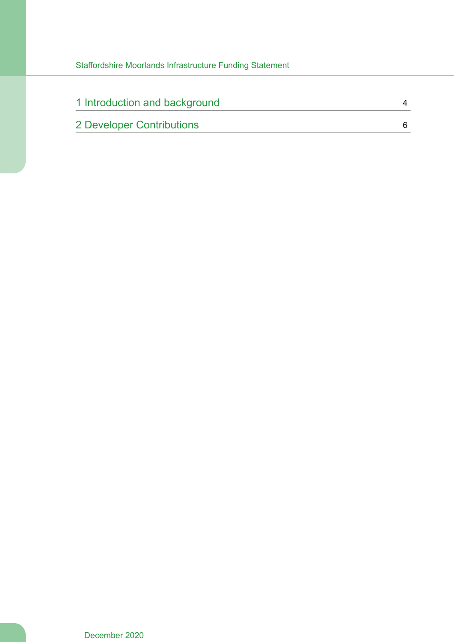| 1 Introduction and background |  |
|-------------------------------|--|
| 2 Developer Contributions     |  |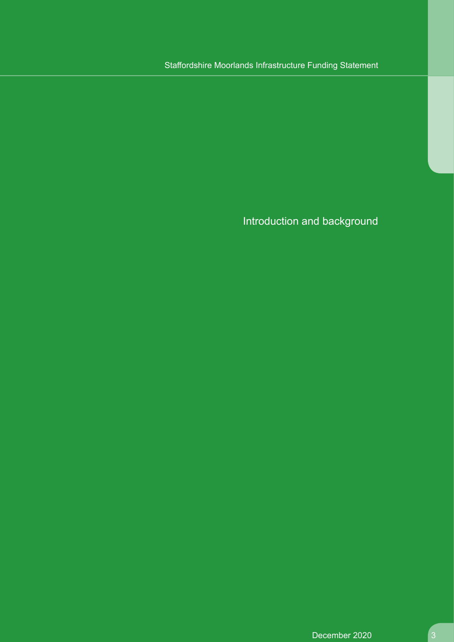# Introduction and background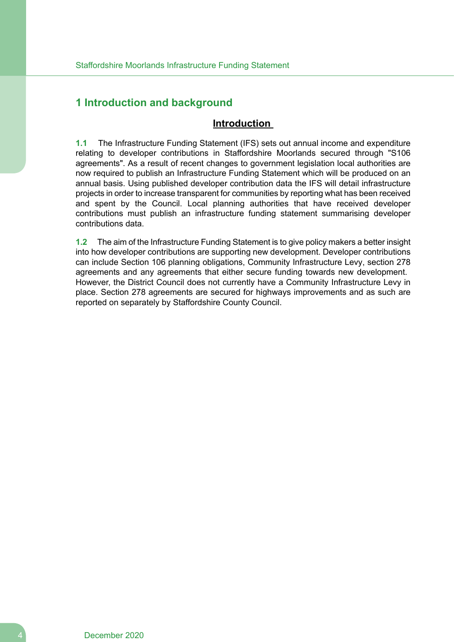# <span id="page-3-0"></span>**1 Introduction and background**

# **Introduction**

**1.1** The Infrastructure Funding Statement (IFS) sets out annual income and expenditure relating to developer contributions in Staffordshire Moorlands secured through "S106 agreements". As a result of recent changes to government legislation local authorities are now required to publish an Infrastructure Funding Statement which will be produced on an annual basis. Using published developer contribution data the IFS will detail infrastructure projects in order to increase transparent for communities by reporting what has been received and spent by the Council. Local planning authorities that have received developer contributions must publish an infrastructure funding statement summarising developer contributions data.

**1.2** The aim of the Infrastructure Funding Statement is to give policy makers a better insight into how developer contributions are supporting new development. Developer contributions can include Section 106 planning obligations, Community Infrastructure Levy, section 278 agreements and any agreements that either secure funding towards new development. However, the District Council does not currently have a Community Infrastructure Levy in place. Section 278 agreements are secured for highways improvements and as such are reported on separately by Staffordshire County Council.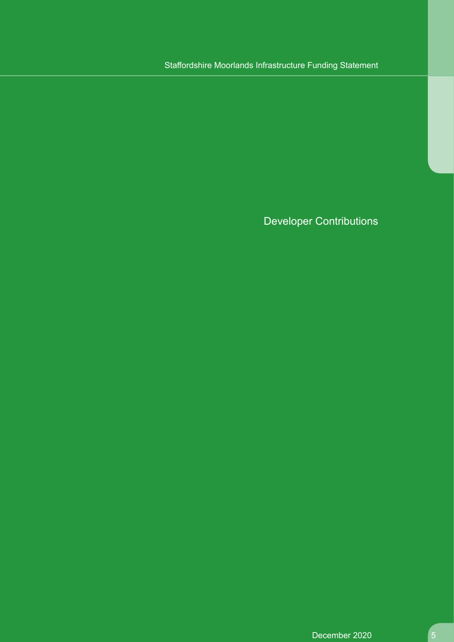Developer Contributions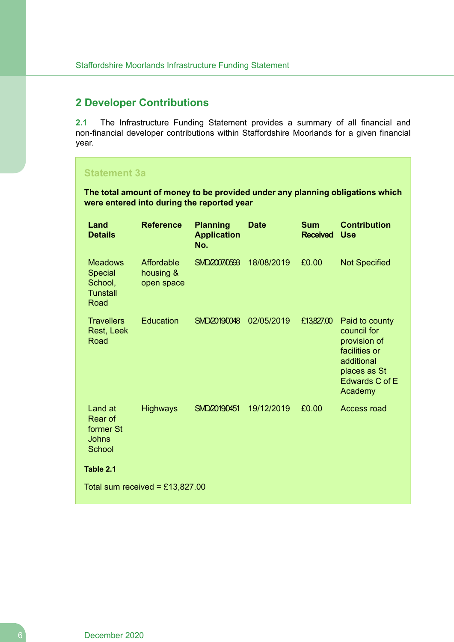# <span id="page-5-0"></span>**2 Developer Contributions**

**2.1** The Infrastructure Funding Statement provides a summary of all financial and non-financial developer contributions within Staffordshire Moorlands for a given financial year.

# **Statement 3a**

**The total amount of money to be provided under any planning obligations which were entered into during the reported year**

| Land<br><b>Details</b>                                                 | <b>Reference</b>                      | <b>Planning</b><br><b>Application</b><br>No. | <b>Date</b> | <b>Sum</b><br><b>Received</b> | <b>Contribution</b><br><b>Use</b>                                                                                         |  |  |
|------------------------------------------------------------------------|---------------------------------------|----------------------------------------------|-------------|-------------------------------|---------------------------------------------------------------------------------------------------------------------------|--|--|
| <b>Meadows</b><br><b>Special</b><br>School,<br><b>Tunstall</b><br>Road | Affordable<br>housing &<br>open space | SMD2007/0593                                 | 18/08/2019  | £0.00                         | <b>Not Specified</b>                                                                                                      |  |  |
| <b>Travellers</b><br>Rest, Leek<br>Road                                | <b>Education</b>                      | SMD20190048                                  | 02/05/2019  | £13,827.00                    | Paid to county<br>council for<br>provision of<br>facilities or<br>additional<br>places as St<br>Edwards C of E<br>Academy |  |  |
| Land at<br>Rear of<br>former St<br><b>Johns</b><br>School              | <b>Highways</b>                       | SMD/2019/0451                                | 19/12/2019  | £0.00                         | <b>Access road</b>                                                                                                        |  |  |
| Table 2.1                                                              |                                       |                                              |             |                               |                                                                                                                           |  |  |
| Total sum received = £13,827.00                                        |                                       |                                              |             |                               |                                                                                                                           |  |  |

6 December 2020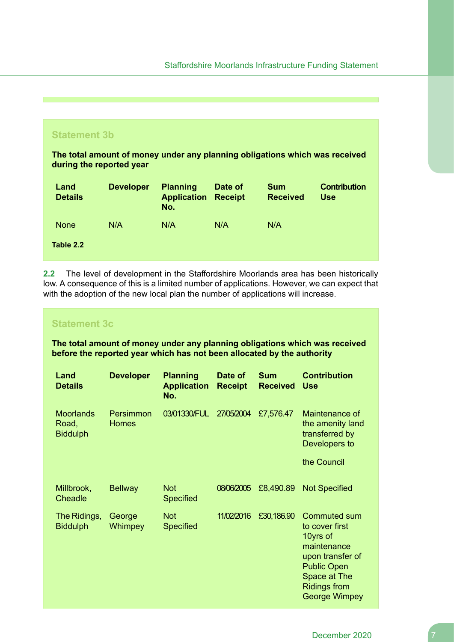

**2.2** The level of development in the Staffordshire Moorlands area has been historically low. A consequence of this is a limited number of applications. However, we can expect that with the adoption of the new local plan the number of applications will increase.

### **Statement 3c**

**The total amount of money under any planning obligations which was received before the reported year which has not been allocated by the authority**

| Land<br><b>Details</b>                       | <b>Developer</b>          | <b>Planning</b><br><b>Application</b><br>No. | Date of<br><b>Receipt</b> | <b>Sum</b><br><b>Received</b> | <b>Contribution</b><br><b>Use</b>                                                                                                                                         |
|----------------------------------------------|---------------------------|----------------------------------------------|---------------------------|-------------------------------|---------------------------------------------------------------------------------------------------------------------------------------------------------------------------|
| <b>Moorlands</b><br>Road,<br><b>Biddulph</b> | Persimmon<br><b>Homes</b> | 03/01330/FUL                                 | 27/05/2004                | £7,576.47                     | Maintenance of<br>the amenity land<br>transferred by<br>Developers to                                                                                                     |
|                                              |                           |                                              |                           |                               | the Council                                                                                                                                                               |
| Millbrook,<br>Cheadle                        | <b>Bellway</b>            | <b>Not</b><br><b>Specified</b>               | 08/06/2005                | £8,490.89                     | <b>Not Specified</b>                                                                                                                                                      |
| The Ridings,<br><b>Biddulph</b>              | George<br><b>Whimpey</b>  | <b>Not</b><br><b>Specified</b>               | 11/02/2016                | £30,186.90                    | <b>Commuted sum</b><br>to cover first<br>10yrs of<br>maintenance<br>upon transfer of<br><b>Public Open</b><br>Space at The<br><b>Ridings from</b><br><b>George Wimpey</b> |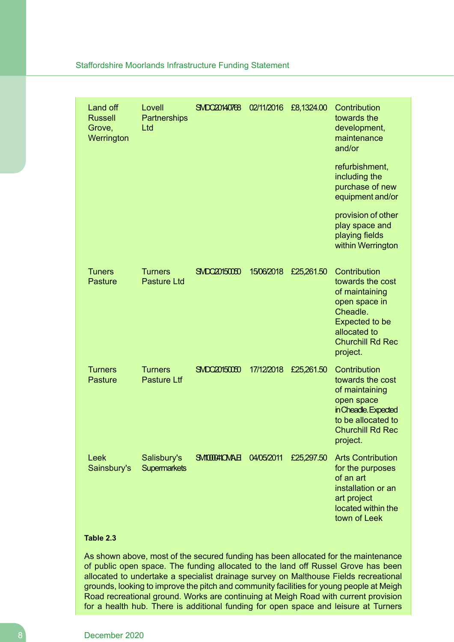| Land off<br><b>Russell</b><br>Grove,<br>Werrington | Lovell<br>Partnerships<br>Ltd        | SMDC20140768      | 02/11/2016 | £8,1324.00 | Contribution<br>towards the<br>development,<br>maintenance<br>and/or                                                                                            |
|----------------------------------------------------|--------------------------------------|-------------------|------------|------------|-----------------------------------------------------------------------------------------------------------------------------------------------------------------|
|                                                    |                                      |                   |            |            | refurbishment,<br>including the<br>purchase of new<br>equipment and/or                                                                                          |
|                                                    |                                      |                   |            |            | provision of other<br>play space and<br>playing fields<br>within Werrington                                                                                     |
| <b>Tuners</b><br><b>Pasture</b>                    | <b>Turners</b><br><b>Pasture Ltd</b> | SMDC20150050      | 15/06/2018 | £25,261.50 | Contribution<br>towards the cost<br>of maintaining<br>open space in<br>Cheadle.<br><b>Expected to be</b><br>allocated to<br><b>Churchill Rd Rec</b><br>project. |
| <b>Turners</b><br><b>Pasture</b>                   | <b>Turners</b><br><b>Pasture Ltf</b> | SMDC20150050      | 17/12/2018 | £25,261.50 | Contribution<br>towards the cost<br>of maintaining<br>open space<br>in Cheadle. Expected<br>to be allocated to<br><b>Churchill Rd Rec</b><br>project.           |
| Leek<br>Sainsbury's                                | Salisbury's<br><b>Supermarkets</b>   | <b>SMODOMOMAE</b> | 04/05/2011 | £25,297.50 | <b>Arts Contribution</b><br>for the purposes<br>of an art<br>installation or an<br>art project<br>located within the<br>town of Leek                            |

### **Table 2.3**

As shown above, most of the secured funding has been allocated for the maintenance of public open space. The funding allocated to the land off Russel Grove has been allocated to undertake a specialist drainage survey on Malthouse Fields recreational grounds, looking to improve the pitch and community facilities for young people at Meigh Road recreational ground. Works are continuing at Meigh Road with current provision for a health hub. There is additional funding for open space and leisure at Turners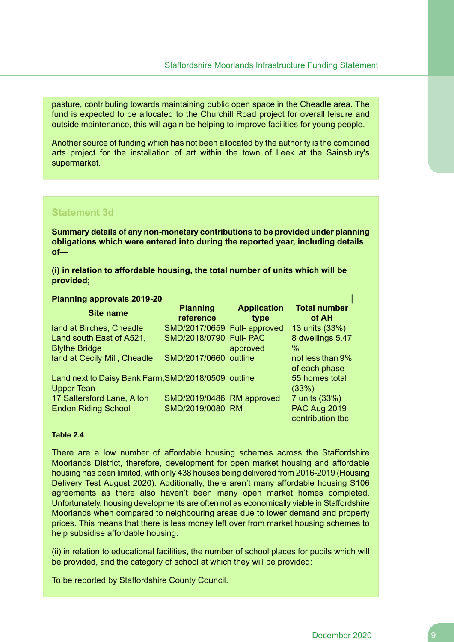pasture, contributing towards maintaining public open space in the Cheadle area. The fund is expected to be allocated to the Churchill Road project for overall leisure and outside maintenance, this will again be helping to improve facilities for young people.

Another source of funding which has not been allocated by the authority is the combined arts project for the installation of art within the town of Leek at the Sainsbury's supermarket.

#### **Statement 3d**

**Summary details of any non-monetary contributions to be provided under planning obligations which were entered into during the reported year, including details of—**

**(i) in relation to affordable housing, the total number of units which will be provided;**

#### **Planning approvals 2019-20**

| <b>Site name</b>                                                         | <b>Planning</b><br>reference | <b>Application</b><br>type | <b>Total number</b><br>of AH            |
|--------------------------------------------------------------------------|------------------------------|----------------------------|-----------------------------------------|
| land at Birches, Cheadle                                                 | SMD/2017/0659 Full-approved  |                            | 13 units (33%)                          |
| Land south East of A521,                                                 | SMD/2018/0790 Full- PAC      |                            | 8 dwellings 5.47                        |
| <b>Blythe Bridge</b>                                                     |                              | approved                   | %                                       |
| land at Cecily Mill, Cheadle                                             | SMD/2017/0660 outline        |                            | not less than 9%<br>of each phase       |
| Land next to Daisy Bank Farm, SMD/2018/0509 outline<br><b>Upper Tean</b> |                              |                            | 55 homes total<br>(33%)                 |
| 17 Saltersford Lane, Alton                                               | SMD/2019/0486 RM approved    |                            | 7 units (33%)                           |
| <b>Endon Riding School</b>                                               | SMD/2019/0080 RM             |                            | <b>PAC Aug 2019</b><br>contribution tbc |

#### **Table 2.4**

There are a low number of affordable housing schemes across the Staffordshire Moorlands District, therefore, development for open market housing and affordable housing has been limited, with only 438 houses being delivered from 2016-2019 (Housing Delivery Test August 2020). Additionally, there aren't many affordable housing S106 agreements as there also haven't been many open market homes completed. Unfortunately, housing developments are often not as economically viable in Staffordshire Moorlands when compared to neighbouring areas due to lower demand and property prices. This means that there is less money left over from market housing schemes to help subsidise affordable housing.

(ii) in relation to educational facilities, the number of school places for pupils which will be provided, and the category of school at which they will be provided;

To be reported by Staffordshire County Council.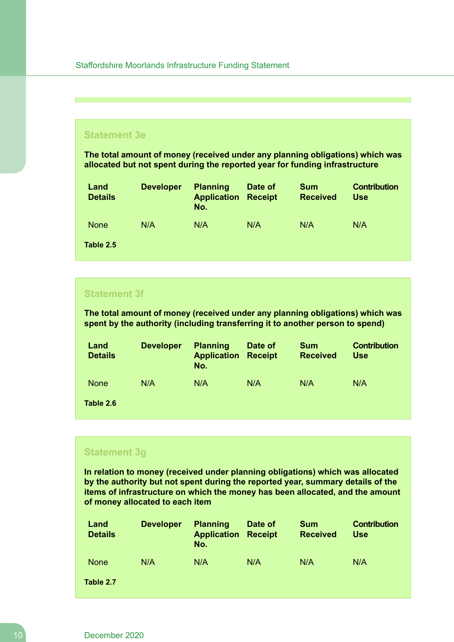### **Statement 3e**

**The total amount of money (received under any planning obligations) which was allocated but not spent during the reported year for funding infrastructure**

| Land<br><b>Details</b> | <b>Developer</b> | <b>Planning</b><br><b>Application</b><br>No. | Date of<br><b>Receipt</b> | <b>Sum</b><br><b>Received</b> | <b>Contribution</b><br><b>Use</b> |
|------------------------|------------------|----------------------------------------------|---------------------------|-------------------------------|-----------------------------------|
| <b>None</b>            | N/A              | N/A                                          | N/A                       | N/A                           | N/A                               |
| Table 2.5              |                  |                                              |                           |                               |                                   |

## **Statement 3f**

**The total amount of money (received under any planning obligations) which was spent by the authority (including transferring it to another person to spend)**

| Land<br><b>Details</b> | <b>Developer</b> | <b>Planning</b><br><b>Application</b><br>No. | Date of<br><b>Receipt</b> | <b>Sum</b><br><b>Received</b> | <b>Contribution</b><br><b>Use</b> |
|------------------------|------------------|----------------------------------------------|---------------------------|-------------------------------|-----------------------------------|
| <b>None</b>            | N/A              | N/A                                          | N/A                       | N/A                           | N/A                               |
| Table 2.6              |                  |                                              |                           |                               |                                   |

#### **Statement 3g**

**In relation to money (received under planning obligations) which was allocated by the authority but not spent during the reported year, summary details of the items of infrastructure on which the money has been allocated, and the amount of money allocated to each item**

| Land<br><b>Details</b> | <b>Developer</b> | <b>Planning</b><br><b>Application</b><br>No. | Date of<br><b>Receipt</b> | <b>Sum</b><br><b>Received</b> | <b>Contribution</b><br>Use |
|------------------------|------------------|----------------------------------------------|---------------------------|-------------------------------|----------------------------|
| <b>None</b>            | N/A              | N/A                                          | N/A                       | N/A                           | N/A                        |
| Table 2.7              |                  |                                              |                           |                               |                            |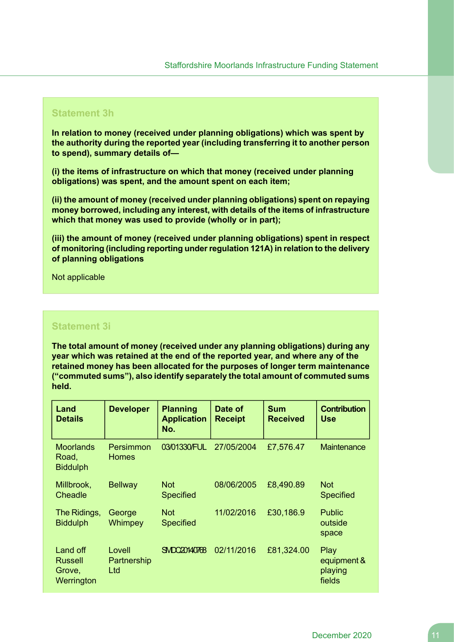### **Statement 3h**

**In relation to money (received under planning obligations) which was spent by the authority during the reported year (including transferring it to another person to spend), summary details of—**

**(i) the items of infrastructure on which that money (received under planning obligations) was spent, and the amount spent on each item;**

**(ii) the amount of money (received under planning obligations) spent on repaying money borrowed, including any interest, with details of the items of infrastructure which that money was used to provide (wholly or in part);**

**(iii) the amount of money (received under planning obligations) spent in respect of monitoring (including reporting under regulation 121A) in relation to the delivery of planning obligations**

Not applicable

## **Statement 3i**

**The total amount of money (received under any planning obligations) during any year which was retained at the end of the reported year, and where any of the retained money has been allocated for the purposes of longer term maintenance ("commuted sums"), also identify separately the total amount of commuted sums held.**

| Land<br><b>Details</b>                       | <b>Developer</b>             | <b>Planning</b><br><b>Application</b><br>No. | Date of<br><b>Receipt</b> | <b>Sum</b><br><b>Received</b> | <b>Contribution</b><br><b>Use</b>        |
|----------------------------------------------|------------------------------|----------------------------------------------|---------------------------|-------------------------------|------------------------------------------|
| <b>Moorlands</b><br>Road,<br><b>Biddulph</b> | Persimmon<br><b>Homes</b>    | 03/01330/FUL                                 | 27/05/2004                | £7,576.47                     | Maintenance                              |
| Millbrook,<br>Cheadle                        | <b>Bellway</b>               | <b>Not</b><br><b>Specified</b>               | 08/06/2005                | £8,490.89                     | <b>Not</b><br><b>Specified</b>           |
| The Ridings,<br><b>Biddulph</b>              | George<br>Whimpey            | <b>Not</b><br><b>Specified</b>               | 11/02/2016                | £30,186.9                     | <b>Public</b><br>outside<br>space        |
| Land off<br>Russell<br>Grove,<br>Werrington  | Lovell<br>Partnership<br>Ltd | <b>SMDC20140768</b>                          | 02/11/2016                | £81,324.00                    | Play<br>equipment &<br>playing<br>fields |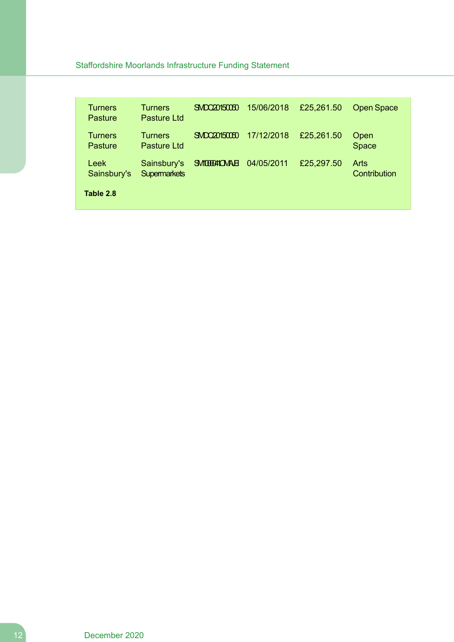| <b>Turners</b><br>Pasture        | <b>Turners</b><br>Pasture Ltd      | SMDC20150050      | 15/06/2018 | £25,261.50 | <b>Open Space</b>           |
|----------------------------------|------------------------------------|-------------------|------------|------------|-----------------------------|
| <b>Turners</b><br>Pasture        | <b>Turners</b><br>Pasture Ltd      | SNDC20150050      | 17/12/2018 | £25,261.50 | Open<br><b>Space</b>        |
| Leek<br>Sainsbury's<br>Table 2.8 | Sainsbury's<br><b>Supermarkets</b> | <b>SMODOMOMAE</b> | 04/05/2011 | £25,297.50 | <b>Arts</b><br>Contribution |
|                                  |                                    |                   |            |            |                             |